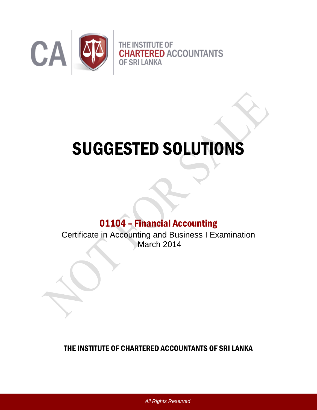

# SUGGESTED SOLUTIONS

## 01104 – Financial Accounting

Certificate in Accounting and Business I Examination March 2014

### THE INSTITUTE OF CHARTERED ACCOUNTANTS OF SRI LANKA

*All Rights Reserved*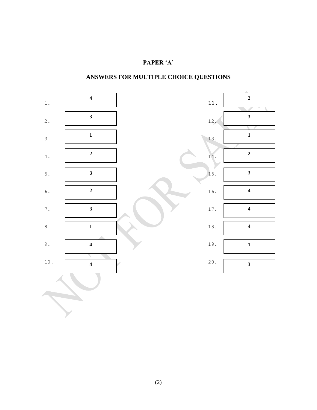### **PAPER 'A'**

### **ANSWERS FOR MULTIPLE CHOICE QUESTIONS**

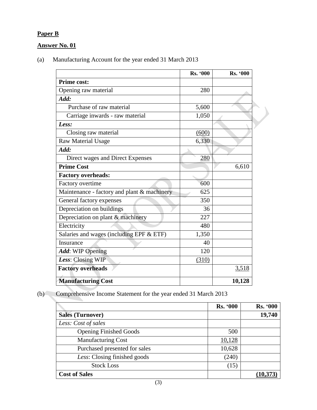### **Paper B**

### **Answer No. 01**

(a)Manufacturing Account for the year ended 31 March 2013

|                                             | Rs. '000 | <b>Rs. '000</b> |
|---------------------------------------------|----------|-----------------|
| <b>Prime cost:</b>                          |          |                 |
| Opening raw material                        | 280      |                 |
| Add:                                        |          |                 |
| Purchase of raw material                    | 5,600    |                 |
| Carriage inwards - raw material             | 1,050    |                 |
| Less:                                       |          |                 |
| Closing raw material                        | (600)    |                 |
| <b>Raw Material Usage</b>                   | 6,330    |                 |
| Add:                                        |          |                 |
| Direct wages and Direct Expenses            | 280      |                 |
| <b>Prime Cost</b>                           |          | 6,610           |
| <b>Factory overheads:</b>                   |          |                 |
| Factory overtime                            | 600      |                 |
| Maintenance - factory and plant & machinery | 625      |                 |
| General factory expenses                    | 350      |                 |
| Depreciation on buildings                   | 36       |                 |
| Depreciation on plant & machinery           | 227      |                 |
| Electricity                                 | 480      |                 |
| Salaries and wages (including EPF & ETF)    | 1,350    |                 |
| Insurance                                   | 40       |                 |
| Add: WIP Opening                            | 120      |                 |
| Less: Closing WIP                           | (310)    |                 |
| <b>Factory overheads</b>                    |          | 3,518           |
| <b>Manufacturing Cost</b>                   |          | 10,128          |

 $\blacktriangleright$ 

(b) Comprehensive Income Statement for the year ended 31 March 2013

|                               | <b>Rs. '000</b> | <b>Rs. '000</b> |
|-------------------------------|-----------------|-----------------|
| <b>Sales (Turnover)</b>       |                 | 19,740          |
| Less: Cost of sales           |                 |                 |
| <b>Opening Finished Goods</b> | 500             |                 |
| <b>Manufacturing Cost</b>     | 10,128          |                 |
| Purchased presented for sales | 10,628          |                 |
| Less: Closing finished goods  | (240)           |                 |
| <b>Stock Loss</b>             | (15)            |                 |
| <b>Cost of Sales</b>          |                 |                 |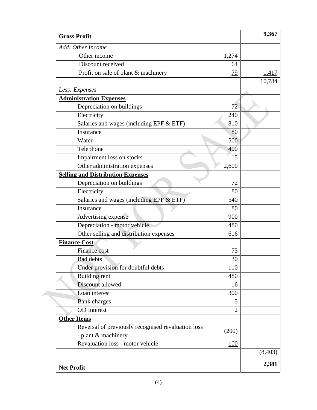| <b>Gross Profit</b>                                |                 | 9,367    |
|----------------------------------------------------|-----------------|----------|
| Add: Other Income                                  |                 |          |
| Other income                                       | 1,274           |          |
| Discount received                                  | 64              |          |
| Profit on sale of plant & machinery                | $\overline{79}$ | 1,417    |
|                                                    |                 | 10,784   |
| Less: Expenses                                     |                 |          |
| <b>Administration Expenses</b>                     |                 |          |
| Depreciation on buildings                          | 72              |          |
| Electricity                                        | 240             |          |
| Salaries and wages (including EPF & ETF)           | 810             |          |
| Insurance                                          | 80              |          |
| Water                                              | 500             |          |
| Telephone                                          | <b>400</b>      |          |
| Impairment loss on stocks                          | 15              |          |
| Other administration expenses                      | 2,600           |          |
| <b>Selling and Distribution Expenses</b>           |                 |          |
| Depreciation on buildings                          | 72              |          |
| Electricity                                        | 80              |          |
| Salaries and wages (including EPF & ETF)           | 540             |          |
| Insurance                                          | 80              |          |
| Advertising expense                                | 900             |          |
| Depreciation - motor vehicle                       | 480             |          |
| Other selling and distribution expenses            | 616             |          |
| <b>Finance Cost</b>                                |                 |          |
| Finance cost                                       | 75              |          |
| <b>Bad</b> debts                                   | 30              |          |
| Under provision for doubtful debts                 | 110             |          |
| <b>Building</b> rent                               | 480             |          |
| Discount allowed                                   | 16              |          |
| Loan interest                                      | 300             |          |
| <b>Bank</b> charges                                | 5               |          |
| <b>OD</b> Interest                                 | $\overline{2}$  |          |
| <b>Other Items</b>                                 |                 |          |
| Reversal of previously recognised revaluation loss |                 |          |
| - plant & machinery                                | (200)           |          |
| Revaluation loss - motor vehicle                   | <b>100</b>      |          |
|                                                    |                 | (8, 403) |
|                                                    |                 | 2,381    |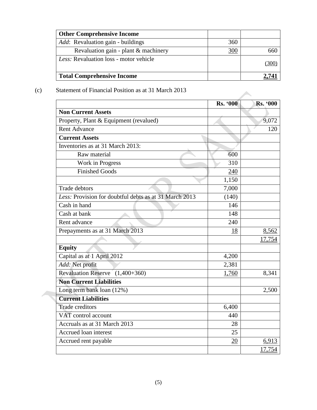| <b>Other Comprehensive Income</b>         |     |      |
|-------------------------------------------|-----|------|
| <i>Add</i> : Revaluation gain - buildings | 360 |      |
| Revaluation gain - plant & machinery      | 300 | 66(  |
| Less: Revaluation loss - motor vehicle    |     | (300 |
| <b>Total Comprehensive Income</b>         |     |      |

(c) Statement of Financial Position as at 31 March 2013

|                                                        | <b>Rs. '000</b> | <b>Rs. '000</b> |
|--------------------------------------------------------|-----------------|-----------------|
| <b>Non Current Assets</b>                              |                 |                 |
| Property, Plant & Equipment (revalued)                 |                 | 9,072           |
| <b>Rent Advance</b>                                    |                 | 120             |
| <b>Current Assets</b>                                  |                 |                 |
| Inventories as at 31 March 2013:                       |                 |                 |
| Raw material                                           | 600             |                 |
| Work in Progress                                       | 310             |                 |
| <b>Finished Goods</b>                                  | 240             |                 |
|                                                        | 1,150           |                 |
| <b>Trade debtors</b>                                   | 7,000           |                 |
| Less: Provision for doubtful debts as at 31 March 2013 | (140)           |                 |
| Cash in hand                                           | 146             |                 |
| Cash at bank                                           | 148             |                 |
| Rent advance                                           | 240             |                 |
| Prepayments as at 31 March 2013                        | 18              | 8,562           |
|                                                        |                 | 17,754          |
| <b>Equity</b>                                          |                 |                 |
| Capital as at 1 April 2012                             | 4,200           |                 |
| Add: Net profit                                        | 2,381           |                 |
| Revaluation Reserve (1,400+360)                        | 1,760           | 8,341           |
| <b>Non Current Liabilities</b>                         |                 |                 |
| Long term bank loan (12%)                              |                 | 2,500           |
| <b>Current Liabilities</b>                             |                 |                 |
| <b>Trade creditors</b>                                 | 6,400           |                 |
| VAT control account                                    | 440             |                 |
| Accruals as at 31 March 2013                           | 28              |                 |
| Accrued loan interest                                  | 25              |                 |
| Accrued rent payable                                   | 20              | 6,913           |
|                                                        |                 | 17,754          |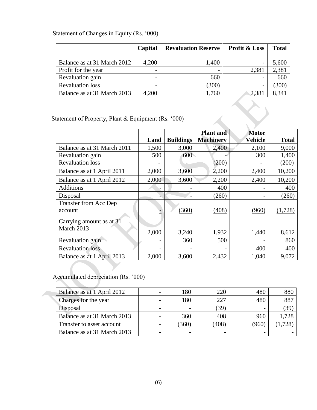|                             | Capital | <b>Revaluation Reserve</b> | <b>Profit &amp; Loss</b> | <b>Total</b> |
|-----------------------------|---------|----------------------------|--------------------------|--------------|
|                             |         |                            |                          |              |
| Balance as at 31 March 2012 | 4,200   | 1,400                      | -                        | 5,600        |
| Profit for the year         |         |                            | 2,381                    | 2,381        |
| Revaluation gain            |         | 660                        |                          | 660          |
| <b>Revaluation loss</b>     |         | (300)                      | -                        | 300          |
| Balance as at 31 March 2013 | 4,200   | .760                       | 2,381                    | 8,341        |

### Statement of Changes in Equity (Rs. '000)

| tatement of Property, Plant & Equipment (Rs. '000) |       |                  |                                      |                         |              |
|----------------------------------------------------|-------|------------------|--------------------------------------|-------------------------|--------------|
|                                                    | Land  | <b>Buildings</b> | <b>Plant and</b><br><b>Machinery</b> | <b>Motor</b><br>Vehicle | <b>Total</b> |
| Balance as at 31 March 2011                        | 1,500 | 3,000            | 2,400                                | 2,100                   | 9,000        |
| Revaluation gain                                   | 500   | 600              |                                      | 300                     | 1,400        |
| <b>Revaluation loss</b>                            |       |                  | (200)                                |                         | (200)        |
| Balance as at 1 April 2011                         | 2,000 | 3,600            | 2,200                                | 2,400                   | 10,200       |
| Balance as at 1 April 2012                         | 2,000 | 3,600            | 2,200                                | 2,400                   | 10,200       |
| Additions                                          |       |                  | 400                                  |                         | 400          |
| Disposal                                           |       |                  | (260)                                |                         | (260)        |
| Transfer from Acc Dep                              |       |                  |                                      |                         |              |
| account                                            |       | (360)            | (408)                                | (960)                   | (1,728)      |
| Carrying amount as at 31                           |       |                  |                                      |                         |              |
| March 2013                                         | 2,000 | 3,240            | 1,932                                | 1,440                   | 8,612        |
| Revaluation gain                                   |       | 360              | 500                                  |                         | 860          |
| <b>Revaluation loss</b>                            |       |                  |                                      | 400                     | 400          |
| Balance as at 1 April 2013                         | 2,000 | 3,600            | 2,432                                | 1,040                   | 9,072        |

Accumulated depreciation (Rs. '000)

| Balance as at 1 April 2012  | 180   | 220   | 480   | 880   |
|-----------------------------|-------|-------|-------|-------|
| Charges for the year        | 180   | 227   | 480   | 887   |
| <b>Disposal</b>             |       | 39    |       | (39   |
| Balance as at 31 March 2013 | 360   | 408   | 960   | 1.728 |
| Transfer to asset account   | (360) | (408) | (960) | ,728  |
| Balance as at 31 March 2013 |       |       |       |       |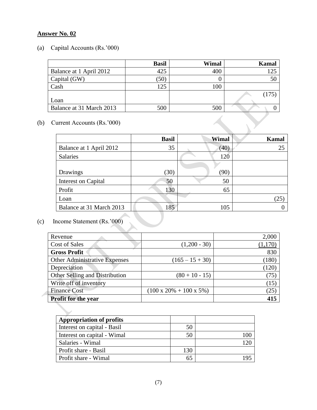### **Answer No. 02**

(a) Capital Accounts (Rs.'000)

|                          | <b>Basil</b> | Wimal | <b>Kamal</b> |
|--------------------------|--------------|-------|--------------|
| Balance at 1 April 2012  | 425          | 400   | 125          |
| Capital (GW)             | (50)         |       | 50           |
| Cash                     | 125          | 100   |              |
|                          |              |       | (175)        |
| Loan                     |              |       |              |
| Balance at 31 March 2013 | 500          | 500   |              |

(b) Current Accounts (Rs.'000)

|                            | <b>Basil</b> | Wimal | <b>Kamal</b> |
|----------------------------|--------------|-------|--------------|
| Balance at 1 April 2012    | 35           | (40)  | 25           |
| Salaries                   |              | 120   |              |
|                            |              |       |              |
| Drawings                   | (30)         | (90)  |              |
| <b>Interest on Capital</b> | 50           | 50    |              |
| Profit                     | 130          | 65    |              |
| Loan                       |              |       | (25)         |
| Balance at 31 March 2013   | 185          | 105   |              |

# (c) Income Statement (Rs.'000)

| Revenue                              |                                      | 2,000 |
|--------------------------------------|--------------------------------------|-------|
| <b>Cost of Sales</b>                 | $(1,200 - 30)$                       | 1,170 |
| <b>Gross Profit</b>                  |                                      | 830   |
| <b>Other Administrative Expenses</b> | $(165 - 15 + 30)$                    | (180) |
| Depreciation                         |                                      | 120   |
| Other Selling and Distribution       | $(80 + 10 - 15)$                     | 75    |
| Write off of inventory               |                                      | (15)  |
| <b>Finance Cost</b>                  | $(100 \times 20\% + 100 \times 5\%)$ | (25)  |
| <b>Profit for the year</b>           |                                      |       |

| <b>Appropriation of profits</b> |     |  |
|---------------------------------|-----|--|
| Interest on capital - Basil     | 50  |  |
| Interest on capital - Wimal     | 50  |  |
| Salaries - Wimal                |     |  |
| Profit share - Basil            | 130 |  |
| Profit share - Wimal            | 65  |  |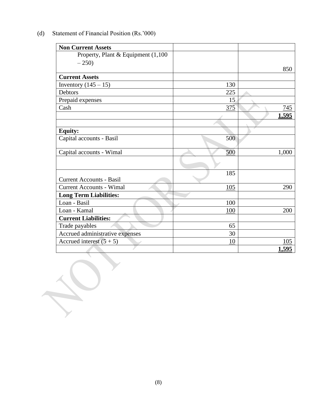| <b>Non Current Assets</b>           |     |              |
|-------------------------------------|-----|--------------|
| Property, Plant & Equipment (1,100) |     |              |
| $-250$                              |     |              |
|                                     |     | 850          |
| <b>Current Assets</b>               |     |              |
| Inventory $(145 - 15)$              | 130 |              |
| Debtors                             | 225 |              |
| Prepaid expenses                    | 15  |              |
| Cash                                | 375 | 745          |
|                                     |     | <u>1,595</u> |
|                                     |     |              |
| <b>Equity:</b>                      |     |              |
| Capital accounts - Basil            | 500 |              |
| Capital accounts - Wimal            | 500 | 1,000        |
|                                     |     |              |
| <b>Current Accounts - Basil</b>     | 185 |              |
| <b>Current Accounts - Wimal</b>     | 105 | 290          |
| <b>Long Term Liabilities:</b>       |     |              |
| Loan - Basil                        | 100 |              |
| Loan - Kamal                        | 100 | 200          |
| <b>Current Liabilities:</b>         |     |              |
| Trade payables                      | 65  |              |
| Accrued administrative expenses     | 30  |              |
| Accrued interest $(5 + 5)$          | 10  | 105          |
|                                     |     | <u>1,595</u> |

(d) Statement of Financial Position (Rs.'000)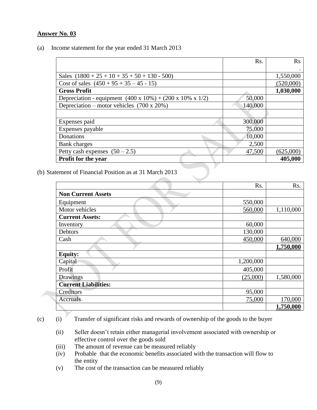### **Answer No. 03**

(a) Income statement for the year ended 31 March 2013

|                                                                             | R <sub>s</sub> . | $\mathbf{R}$ s |
|-----------------------------------------------------------------------------|------------------|----------------|
|                                                                             |                  |                |
| Sales $(1800 + 25 + 10 + 35 + 50 + 130 - 500)$                              |                  | 1,550,000      |
| Cost of sales $(450 + 95 + 35 - 45 - 15)$                                   |                  | (520,000)      |
| <b>Gross Profit</b>                                                         |                  | 1,030,000      |
| Depreciation - equipment $(400 \times 10\%) + (200 \times 10\% \times 1/2)$ | 50,000           |                |
| Depreciation – motor vehicles $(700 \times 20\%)$                           | 140,000          |                |
|                                                                             |                  |                |
| Expenses paid                                                               | 300,000          |                |
| Expenses payable                                                            | 75,000           |                |
| Donations                                                                   | 10,000           |                |
| Bank charges                                                                | 2,500            |                |
| Petty cash expenses $(50 - 2.5)$                                            | 47,500           | (625,000)      |
| <b>Profit for the year</b>                                                  |                  | 405,000        |

(b) Statement of Financial Position as at 31 March 2013

|                             | Rs.       | Rs.       |
|-----------------------------|-----------|-----------|
| <b>Non Current Assets</b>   |           |           |
| Equipment                   | 550,000   |           |
| Motor vehicles              | 560,000   | 1,110,000 |
| <b>Current Assets:</b>      |           |           |
| Inventory                   | 60,000    |           |
| Debtors                     | 130,000   |           |
| Cash                        | 450,000   | 640,000   |
|                             |           | 1,750,000 |
| <b>Equity:</b>              |           |           |
| Capital                     | 1,200,000 |           |
| Profit                      | 405,000   |           |
| Drawings                    | (25,000)  | 1,580,000 |
| <b>Current Liabilities:</b> |           |           |
| Creditors                   | 95,000    |           |
| Accruals                    | 75,000    | 170,000   |
|                             |           | 1,750,000 |

(c) (i) Transfer of significant risks and rewards of ownership of the goods to the buyer

- (ii) Seller doesn't retain either managerial involvement associated with ownership or effective control over the goods sold
- (iii) The amount of revenue can be measured reliably
- (iv) Probable that the economic benefits associated with the transaction will flow to the entity
- (v) The cost of the transaction can be measured reliably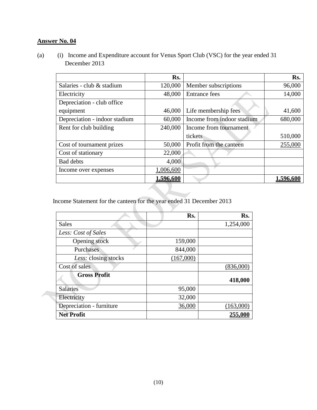### **Answer No. 04**

(a) (i) Income and Expenditure account for Venus Sport Club (VSC) for the year ended 31 December 2013

|                               | Rs.       |                            | Rs.      |
|-------------------------------|-----------|----------------------------|----------|
| Salaries - club & stadium     | 120,000   | Member subscriptions       | 96,000   |
| Electricity                   | 48,000    | <b>Entrance fees</b>       | 14,000   |
| Depreciation - club office    |           |                            |          |
| equipment                     | 46,000    | Life membership fees       | 41,600   |
| Depreciation - indoor stadium | 60,000    | Income from indoor stadium | 680,000  |
| Rent for club building        | 240,000   | Income from tournament     |          |
|                               |           | tickets                    | 510,000  |
| Cost of tournament prizes     | 50,000    | Profit from the canteen    | 255,000  |
| Cost of stationary            | 22,000    |                            |          |
| <b>Bad debts</b>              | 4,000     |                            |          |
| Income over expenses          | 1,006,600 |                            |          |
|                               | 1,596,600 |                            | 1.596.60 |

Income Statement for the canteen for the year ended 31 December 2013

|                          | Rs.       | Rs.       |
|--------------------------|-----------|-----------|
| <b>Sales</b>             |           | 1,254,000 |
| Less: Cost of Sales      |           |           |
| Opening stock            | 159,000   |           |
| Purchases                | 844,000   |           |
| Less: closing stocks     | (167,000) |           |
| Cost of sales            |           | (836,000) |
| <b>Gross Profit</b>      |           | 418,000   |
| <b>Salaries</b>          | 95,000    |           |
| Electricity              | 32,000    |           |
| Depreciation - furniture | 36,000    | (163,000) |
| <b>Net Profit</b>        |           | 255.0     |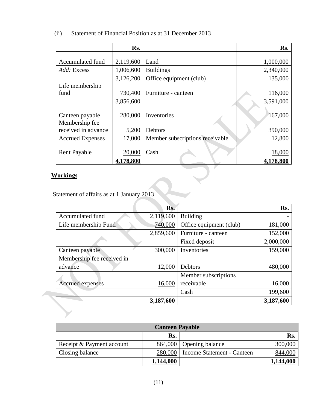|                         | Rs.       |                                 | Rs.       |
|-------------------------|-----------|---------------------------------|-----------|
|                         |           |                                 |           |
| Accumulated fund        | 2,119,600 | Land                            | 1,000,000 |
| Add: Excess             | 1,006,600 | <b>Buildings</b>                | 2,340,000 |
|                         | 3,126,200 | Office equipment (club)         | 135,000   |
| Life membership         |           |                                 |           |
| fund                    | 730,400   | Furniture - canteen             | 116,000   |
|                         | 3,856,600 |                                 | 3,591,000 |
|                         |           |                                 |           |
| Canteen payable         | 280,000   | Inventories                     | 167,000   |
| Membership fee          |           |                                 |           |
| received in advance     | 5,200     | Debtors                         | 390,000   |
| <b>Accrued Expenses</b> | 17,000    | Member subscriptions receivable | 12,800    |
|                         |           |                                 |           |
| <b>Rent Payable</b>     | 20,000    | Cash                            | 18,000    |
|                         | 4,178,800 |                                 | 4,178,800 |

### (ii) Statement of Financial Position as at 31 December 2013

### **Workings**

Statement of affairs as at 1 January 2013

|                            | Rs.       |                         | Rs.       |
|----------------------------|-----------|-------------------------|-----------|
| Accumulated fund           | 2,119,600 | <b>Building</b>         |           |
| Life membership Fund       | 740,000   | Office equipment (club) | 181,000   |
|                            | 2,859,600 | Furniture - canteen     | 152,000   |
|                            |           | Fixed deposit           | 2,000,000 |
| Canteen payable            | 300,000   | Inventories             | 159,000   |
| Membership fee received in |           |                         |           |
| advance                    | 12,000    | Debtors                 | 480,000   |
|                            |           | Member subscriptions    |           |
| <b>Accrued expenses</b>    | 16,000    | receivable              | 16,000    |
|                            |           | Cash                    | 199,600   |
|                            | 3,187,600 |                         | 3,187,600 |

| <b>Canteen Payable</b>    |           |                                      |           |
|---------------------------|-----------|--------------------------------------|-----------|
|                           | Rs.       |                                      | Rs.       |
| Receipt & Payment account |           | 864,000 Opening balance              | 300,000   |
| <b>Closing balance</b>    |           | 280,000   Income Statement - Canteen | 844,000   |
|                           | 1,144,000 |                                      | 1,144,000 |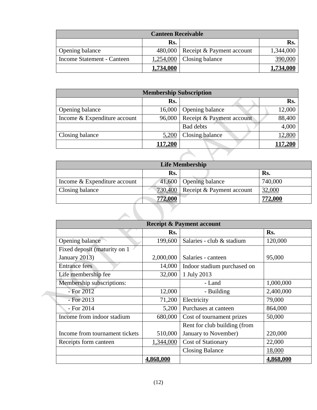| <b>Canteen Receivable</b>  |           |                                     |           |
|----------------------------|-----------|-------------------------------------|-----------|
|                            | Rs.       |                                     | Rs.       |
| Opening balance            |           | 480,000   Receipt & Payment account | 1,344,000 |
| Income Statement - Canteen |           | $1,254,000$ Closing balance         | 390,000   |
|                            | 1,734,000 |                                     | 1,734,000 |

| <b>Membership Subscription</b> |         |                           |        |  |
|--------------------------------|---------|---------------------------|--------|--|
|                                | Rs.     |                           | Rs.    |  |
| Opening balance                | 16,000  | Opening balance           | 12,000 |  |
| Income & Expenditure account   | 96,000  | Receipt & Payment account | 88,400 |  |
|                                |         | <b>Bad debts</b>          | 4,000  |  |
| Closing balance                | 5,200   | Closing balance           | 12,800 |  |
|                                | 117,200 |                           |        |  |
|                                |         |                           |        |  |

| <b>Life Membership</b>       |                |                           |                 |  |
|------------------------------|----------------|---------------------------|-----------------|--|
|                              | Rs.            |                           | Rs.             |  |
| Income & Expenditure account |                | 41,600 Opening balance    | 740,000         |  |
| Closing balance              | 730,400        | Receipt & Payment account | 32,000          |  |
|                              | <b>772,000</b> |                           | 7 <u>72,000</u> |  |

| <b>Receipt &amp; Payment account</b> |           |                              |           |  |
|--------------------------------------|-----------|------------------------------|-----------|--|
|                                      | Rs.       |                              | Rs.       |  |
| Opening balance                      | 199,600   | Salaries - club & stadium    | 120,000   |  |
| Fixed deposit (maturity on 1         |           |                              |           |  |
| January 2013)                        | 2,000,000 | Salaries - canteen           | 95,000    |  |
| <b>Entrance fees</b>                 | 14,000    | Indoor stadium purchased on  |           |  |
| Life membership fee                  | 32,000    | 1 July 2013                  |           |  |
| Membership subscriptions:            |           | - Land                       | 1,000,000 |  |
| $-$ For 2012                         | 12,000    | - Building                   | 2,400,000 |  |
| $-$ For 2013                         | 71,200    | Electricity                  | 79,000    |  |
| - For 2014                           | 5,200     | Purchases at canteen         | 864,000   |  |
| Income from indoor stadium           | 680,000   | Cost of tournament prizes    | 50,000    |  |
|                                      |           | Rent for club building (from |           |  |
| Income from tournament tickets       | 510,000   | January to November)         | 220,000   |  |
| Receipts form canteen                | 1,344,000 | <b>Cost of Stationary</b>    | 22,000    |  |
|                                      |           | <b>Closing Balance</b>       | 18,000    |  |
|                                      | 4,868,000 |                              | 4,868,000 |  |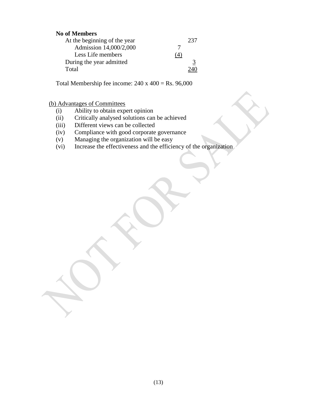### **No of Members**

| At the beginning of the year | 237 |
|------------------------------|-----|
| Admission 14,000/2,000       |     |
| Less Life members            | (4) |
| During the year admitted     |     |
| Total                        |     |

Total Membership fee income:  $240 \times 400 =$  Rs. 96,000

### (b) Advantages of Committees

- (i) Ability to obtain expert opinion
- (ii) Critically analysed solutions can be achieved
- (iii) Different views can be collected
- (iv) Compliance with good corporate governance
- (v) Managing the organization will be easy
- (vi) Increase the effectiveness and the efficiency of the organization